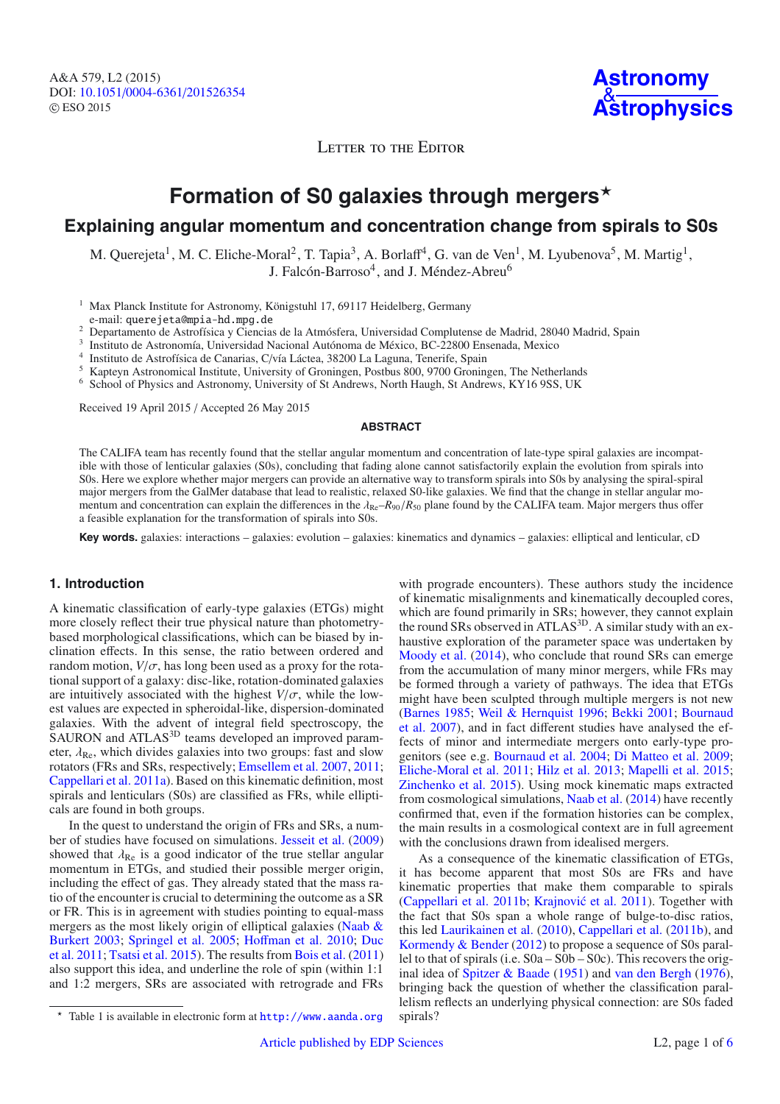A&A 579, L2 (2015) DOI: 10.1051/0004-6361/[201526354](http://dx.doi.org/10.1051/0004-6361/201526354) © ESO 2015

**Astronomy** & **[Astrophysics](http://www.aanda.org)**

LETTER TO THE EDITOR

# Formation of S0 galaxies through mergers<sup>\*</sup>

# **Explaining angular momentum and concentration change from spirals to S0s**

M. Querejeta<sup>1</sup>, M. C. Eliche-Moral<sup>2</sup>, T. Tapia<sup>3</sup>, A. Borlaff<sup>4</sup>, G. van de Ven<sup>1</sup>, M. Lyubenova<sup>5</sup>, M. Martig<sup>1</sup>, J. Falcón-Barroso<sup>4</sup>, and J. Méndez-Abreu<sup>6</sup>

<sup>1</sup> Max Planck Institute for Astronomy, Königstuhl 17, 69117 Heidelberg, Germany

e-mail: querejeta@mpia-hd.mpg.de<br>Departamento de Astrofísica y Ciencias de la Atmósfera, Universidad Complutense de Madrid, 28040 Madrid, Spain

 $^3$  Instituto de Astronomía, Universidad Nacional Autónoma de México, BC-22800 Ensenada, Mexico $^4\,$ Instituto de Astrofísica de Canarias, C/vía Láctea, 38200 La Laguna, Tenerife, Spain

<sup>5</sup> Kapteyn Astronomical Institute, University of Groningen, Postbus 800, 9700 Groningen, The Netherlands

<sup>6</sup> School of Physics and Astronomy, University of St Andrews, North Haugh, St Andrews, KY16 9SS, UK

Received 19 April 2015 / Accepted 26 May 2015

#### **ABSTRACT**

The CALIFA team has recently found that the stellar angular momentum and concentration of late-type spiral galaxies are incompatible with those of lenticular galaxies (S0s), concluding that fading alone cannot satisfactorily explain the evolution from spirals into S0s. Here we explore whether major mergers can provide an alternative way to transform spirals into S0s by analysing the spiral-spiral major mergers from the GalMer database that lead to realistic, relaxed S0-like galaxies. We find that the change in stellar angular momentum and concentration can explain the differences in the  $\lambda_{\text{Re}}-R_{90}/R_{50}$  plane found by the CALIFA team. Major mergers thus offer a feasible explanation for the transformation of spirals into S0s.

**Key words.** galaxies: interactions – galaxies: evolution – galaxies: kinematics and dynamics – galaxies: elliptical and lenticular, cD

### **1. Introduction**

A kinematic classification of early-type galaxies (ETGs) might more closely reflect their true physical nature than photometrybased morphological classifications, which can be biased by inclination effects. In this sense, the ratio between ordered and random motion,  $V/\sigma$ , has long been used as a proxy for the rotational support of a galaxy: disc-like, rotation-dominated galaxies are intuitively associated with the highest  $V/\sigma$ , while the lowest values are expected in spheroidal-like, dispersion-dominated galaxies. With the advent of integral field spectroscopy, the SAURON and ATLAS<sup>3D</sup> teams developed an improved parameter,  $\lambda_{\text{Re}}$ , which divides galaxies into two groups: fast and slow rotators (FRs and SRs, respectively; [Emsellem et al. 2007](#page-3-0), [2011;](#page-3-1) [Cappellari et al. 2011a\)](#page-3-2). Based on this kinematic definition, most spirals and lenticulars (S0s) are classified as FRs, while ellipticals are found in both groups.

In the quest to understand the origin of FRs and SRs, a number of studies have focused on simulations. [Jesseit et al.](#page-3-3) [\(2009](#page-3-3)) showed that  $\lambda_{\text{Re}}$  is a good indicator of the true stellar angular momentum in ETGs, and studied their possible merger origin, including the effect of gas. They already stated that the mass ratio of the encounter is crucial to determining the outcome as a SR or FR. This is in agreement with studies pointing to equal-mass merger[s](#page-3-4) [as](#page-3-4) [the](#page-3-4) [most](#page-3-4) [likely](#page-3-4) [origin](#page-3-4) [of](#page-3-4) [elliptical](#page-3-4) [galaxies](#page-3-4) [\(](#page-3-4)Naab  $\&$ Burkert [2003;](#page-3-4) [Springel et al. 2005](#page-3-5)[;](#page-3-7) Hoff[man et al. 2010;](#page-3-6) Duc et al. [2011;](#page-3-7) [Tsatsi et al. 2015](#page-3-8)). The results from [Bois et al.](#page-3-9) [\(2011](#page-3-9)) also support this idea, and underline the role of spin (within 1:1 and 1:2 mergers, SRs are associated with retrograde and FRs with prograde encounters). These authors study the incidence of kinematic misalignments and kinematically decoupled cores, which are found primarily in SRs; however, they cannot explain the round SRs observed in ATLAS<sup>3D</sup>. A similar study with an exhaustive exploration of the parameter space was undertaken by [Moody et al.](#page-3-10) [\(2014\)](#page-3-10), who conclude that round SRs can emerge from the accumulation of many minor mergers, while FRs may be formed through a variety of pathways. The idea that ETGs might have been sculpted through multiple mergers is not new [\(Barnes 1985;](#page-3-11) [Weil & Hernquist 1996](#page-3-12)[;](#page-3-14) [Bekki 2001](#page-3-13); Bournaud et al. [2007](#page-3-14)), and in fact different studies have analysed the effects of minor and intermediate mergers onto early-type progenitors (see e.g. [Bournaud et al. 2004;](#page-3-15) [Di Matteo et al. 2009;](#page-3-16) [Eliche-Moral et al. 2011](#page-3-17); [Hilz et al. 2013;](#page-3-18) [Mapelli et al. 2015;](#page-3-19) [Zinchenko et al. 2015](#page-3-20)). Using mock kinematic maps extracted from cosmological simulations, [Naab et al.](#page-3-21) [\(2014\)](#page-3-21) have recently confirmed that, even if the formation histories can be complex, the main results in a cosmological context are in full agreement with the conclusions drawn from idealised mergers.

As a consequence of the kinematic classification of ETGs, it has become apparent that most S0s are FRs and have kinematic properties that make them comparable to spirals  $(Cappellari et al. 2011b; Krajnović et al. 2011). Together with$  $(Cappellari et al. 2011b; Krajnović et al. 2011). Together with$ the fact that S0s span a whole range of bulge-to-disc ratios, this led [Laurikainen et al.](#page-3-24) [\(2010](#page-3-24)), [Cappellari et al.](#page-3-22) [\(2011b\)](#page-3-22), and [Kormendy & Bender](#page-3-25) [\(2012\)](#page-3-25) to propose a sequence of S0s parallel to that of spirals (i.e. S0a – S0b – S0c). This recovers the original idea of [Spitzer & Baade](#page-3-26) [\(1951\)](#page-3-26) and [van den Bergh](#page-3-27) [\(1976\)](#page-3-27), bringing back the question of whether the classification parallelism reflects an underlying physical connection: are S0s faded spirals?

<sup>\*</sup> Table 1 is available in electronic form at [http://www.aanda.org](http://www.aanda.org/10.1051/0004-6361/201526354/olm)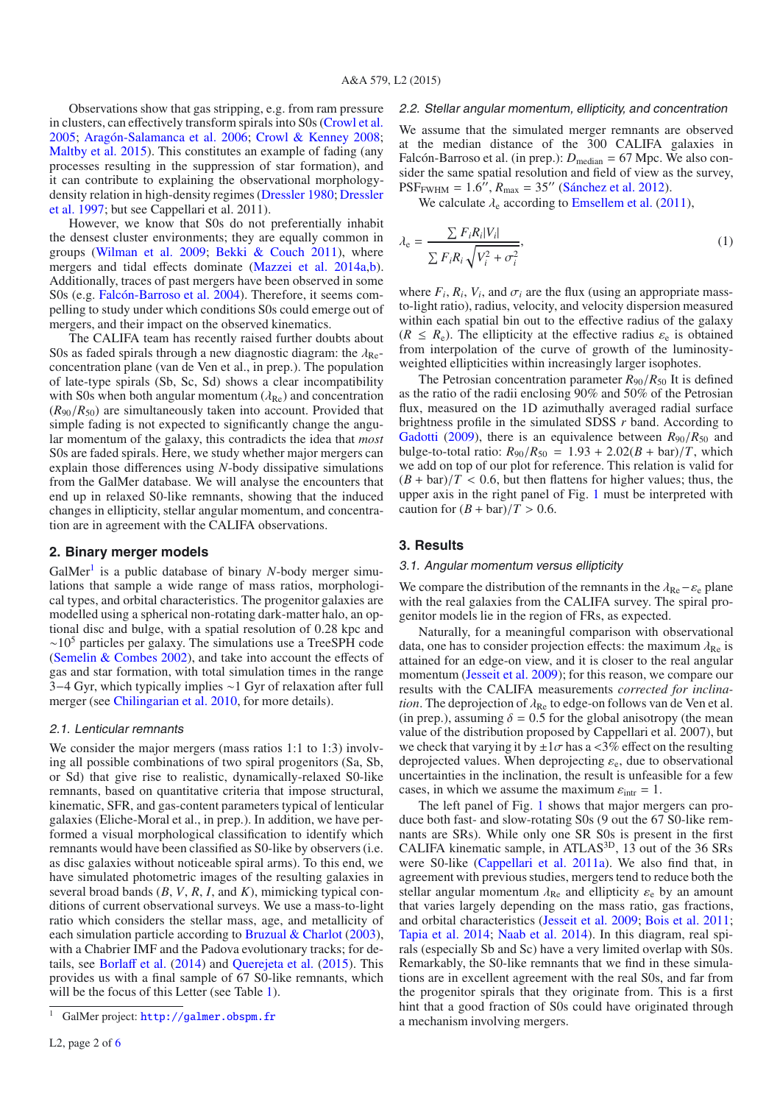Observations show that gas stripping, e.g. from ram pressure in clusters, can effectively transform spirals into S0s [\(Crowl et al.](#page-3-28) [2005;](#page-3-28) [Aragón-Salamanca et al. 2006;](#page-3-29) [Crowl & Kenney 2008;](#page-3-30) [Maltby et al. 2015](#page-3-31)). This constitutes an example of fading (any processes resulting in the suppression of star formation), and it can contribute to explaining the observational morphologydens[ity](#page-3-33) [relation](#page-3-33) [in](#page-3-33) [high-density](#page-3-33) [regimes](#page-3-33) [\(Dressler 1980](#page-3-32)[;](#page-3-33) Dressler et al. [1997;](#page-3-33) but see Cappellari et al. 2011).

However, we know that S0s do not preferentially inhabit the densest cluster environments; they are equally common in groups [\(Wilman et al. 2009](#page-3-34); [Bekki & Couch 2011\)](#page-3-35), where mergers and tidal effects dominate [\(Mazzei et al. 2014a](#page-3-36)[,b](#page-3-37)). Additionally, traces of past mergers have been observed in some S0s (e.g. [Falcón-Barroso et al. 2004](#page-3-38)). Therefore, it seems compelling to study under which conditions S0s could emerge out of mergers, and their impact on the observed kinematics.

The CALIFA team has recently raised further doubts about S0s as faded spirals through a new diagnostic diagram: the  $\lambda_{\text{Re}}$ concentration plane (van de Ven et al., in prep.). The population of late-type spirals (Sb, Sc, Sd) shows a clear incompatibility with S0s when both angular momentum  $(\lambda_{\text{Re}})$  and concentration  $(R_{90}/R_{50})$  are simultaneously taken into account. Provided that simple fading is not expected to significantly change the angular momentum of the galaxy, this contradicts the idea that *most* S0s are faded spirals. Here, we study whether major mergers can explain those differences using *N*-body dissipative simulations from the GalMer database. We will analyse the encounters that end up in relaxed S0-like remnants, showing that the induced changes in ellipticity, stellar angular momentum, and concentration are in agreement with the CALIFA observations.

## **2. Binary merger models**

GalMer<sup>[1](#page-1-0)</sup> is a public database of binary *N*-body merger simulations that sample a wide range of mass ratios, morphological types, and orbital characteristics. The progenitor galaxies are modelled using a spherical non-rotating dark-matter halo, an optional disc and bulge, with a spatial resolution of 0.28 kpc and  $~\sim$ 10<sup>5</sup> particles per galaxy. The simulations use a TreeSPH code [\(Semelin & Combes 2002\)](#page-3-39), and take into account the effects of gas and star formation, with total simulation times in the range 3−4 Gyr, which typically implies ∼1 Gyr of relaxation after full merger (see [Chilingarian et al. 2010,](#page-3-40) for more details).

#### 2.1. Lenticular remnants

<span id="page-1-0"></span>We consider the major mergers (mass ratios 1:1 to 1:3) involving all possible combinations of two spiral progenitors (Sa, Sb, or Sd) that give rise to realistic, dynamically-relaxed S0-like remnants, based on quantitative criteria that impose structural, kinematic, SFR, and gas-content parameters typical of lenticular galaxies (Eliche-Moral et al., in prep.). In addition, we have performed a visual morphological classification to identify which remnants would have been classified as S0-like by observers (i.e. as disc galaxies without noticeable spiral arms). To this end, we have simulated photometric images of the resulting galaxies in several broad bands (*B*, *V*, *R*, *I*, and *K*), mimicking typical conditions of current observational surveys. We use a mass-to-light ratio which considers the stellar mass, age, and metallicity of each simulation particle according to [Bruzual & Charlot](#page-3-41) [\(2003\)](#page-3-41), with a Chabrier IMF and the Padova evolutionary tracks; for details, see [Borla](#page-3-42)ff et al. [\(2014\)](#page-3-42) and [Querejeta et al.](#page-3-43) [\(2015](#page-3-43)). This provides us with a final sample of 67 S0-like remnants, which will be the focus of this Letter (see Table [1\)](#page-4-0).

#### 2.2. Stellar angular momentum, ellipticity, and concentration

We assume that the simulated merger remnants are observed at the median distance of the 300 CALIFA galaxies in Falcón-Barroso et al. (in prep.):  $D_{\text{median}} = 67 \text{ Mpc}$ . We also consider the same spatial resolution and field of view as the survey,  $PSF_{FWHM} = 1.6''$ ,  $R_{max} = 35''$  [\(Sánchez et al. 2012](#page-3-44)).

We calculate  $\lambda_e$  according to [Emsellem et al.](#page-3-1) [\(2011\)](#page-3-1),

$$
\lambda_{\rm e} = \frac{\sum F_i R_i |V_i|}{\sum F_i R_i \sqrt{V_i^2 + \sigma_i^2}},\tag{1}
$$

where  $F_i$ ,  $R_i$ ,  $V_i$ , and  $\sigma_i$  are the flux (using an appropriate massto-light ratio), radius, velocity, and velocity dispersion measured within each spatial bin out to the effective radius of the galaxy  $(R \leq R_e)$ . The ellipticity at the effective radius  $\varepsilon_e$  is obtained from interpolation of the curve of growth of the luminosityweighted ellipticities within increasingly larger isophotes.

The Petrosian concentration parameter  $R_{90}/R_{50}$  It is defined as the ratio of the radii enclosing 90% and 50% of the Petrosian flux, measured on the 1D azimuthally averaged radial surface brightness profile in the simulated SDSS *r* band. According to [Gadotti](#page-3-45) [\(2009](#page-3-45)), there is an equivalence between  $R_{90}/R_{50}$  and bulge-to-total ratio:  $R_{90}/R_{50} = 1.93 + 2.02(B + bar)/T$ , which we add on top of our plot for reference. This relation is valid for  $(B + bar)/T < 0.6$ , but then flattens for higher values; thus, the upper axis in the right panel of Fig. [1](#page-2-0) must be interpreted with caution for  $(B + bar)/T > 0.6$ .

#### **3. Results**

#### 3.1. Angular momentum versus ellipticity

We compare the distribution of the remnants in the  $\lambda_{\text{Re}} - \varepsilon_{\text{e}}$  plane with the real galaxies from the CALIFA survey. The spiral progenitor models lie in the region of FRs, as expected.

Naturally, for a meaningful comparison with observational data, one has to consider projection effects: the maximum  $\lambda_{\text{Re}}$  is attained for an edge-on view, and it is closer to the real angular momentum [\(Jesseit et al. 2009\)](#page-3-3); for this reason, we compare our results with the CALIFA measurements *corrected for inclination*. The deprojection of  $\lambda_{\text{Re}}$  to edge-on follows van de Ven et al. (in prep.), assuming  $\delta = 0.5$  for the global anisotropy (the mean value of the distribution proposed by Cappellari et al. 2007), but we check that varying it by  $\pm 1\sigma$  has a <3% effect on the resulting deprojected values. When deprojecting  $\varepsilon_e$ , due to observational uncertainties in the inclination, the result is unfeasible for a few cases, in which we assume the maximum  $\varepsilon_{\text{intr}} = 1$ .

The left panel of Fig. [1](#page-2-0) shows that major mergers can produce both fast- and slow-rotating S0s (9 out the 67 S0-like remnants are SRs). While only one SR S0s is present in the first CALIFA kinematic sample, in ATLAS3D, 13 out of the 36 SRs were S0-like [\(Cappellari et al. 2011a](#page-3-2)). We also find that, in agreement with previous studies, mergers tend to reduce both the stellar angular momentum  $\lambda_{\text{Re}}$  and ellipticity  $\varepsilon_{\text{e}}$  by an amount that varies largely depending on the mass ratio, gas fractions, and orbital characteristics [\(Jesseit et al. 2009;](#page-3-3) [Bois et al. 2011;](#page-3-9) [Tapia et al. 2014;](#page-3-46) [Naab et al. 2014](#page-3-21)). In this diagram, real spirals (especially Sb and Sc) have a very limited overlap with S0s. Remarkably, the S0-like remnants that we find in these simulations are in excellent agreement with the real S0s, and far from the progenitor spirals that they originate from. This is a first hint that a good fraction of S0s could have originated through a mechanism involving mergers.

<sup>&</sup>lt;sup>1</sup> GalMer project: <http://galmer.obspm.fr>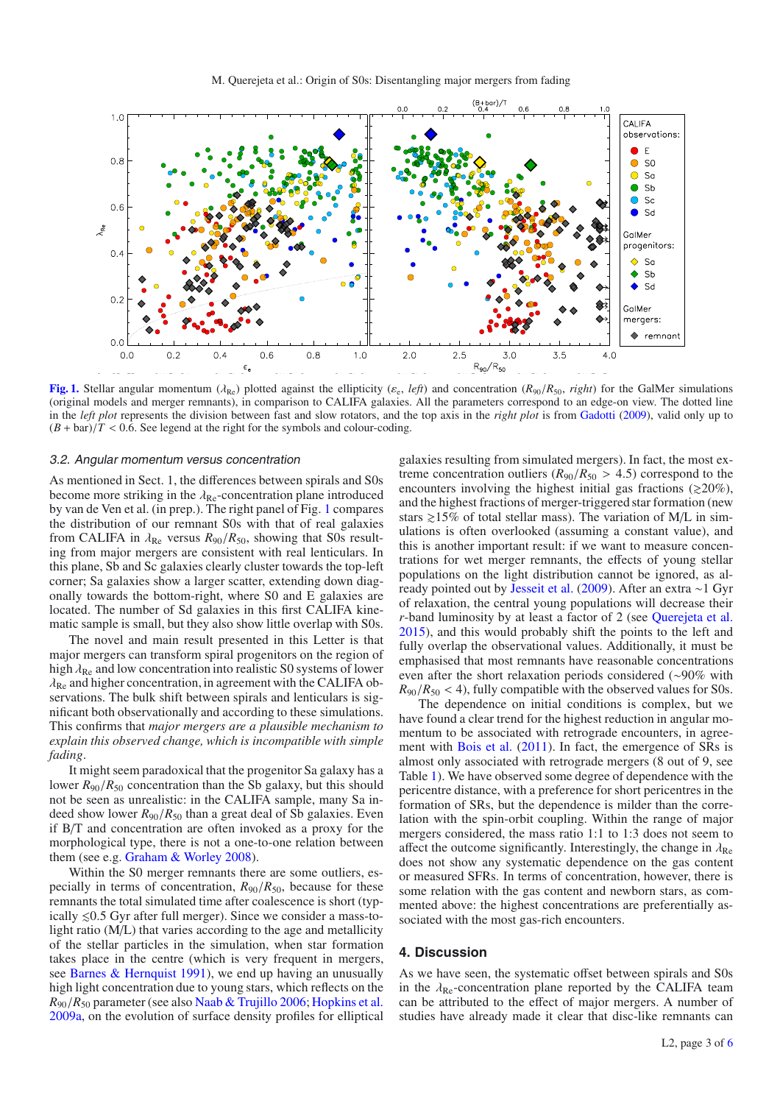<span id="page-2-0"></span>

**[Fig. 1.](http://dexter.edpsciences.org/applet.php?DOI=10.1051/0004-6361/201526354&pdf_id=1)** Stellar angular momentum ( $\lambda_{\text{Re}}$ ) plotted against the ellipticity ( $\varepsilon_{\text{e}}$ , *left*) and concentration ( $R_{90}/R_{50}$ , *right*) for the GalMer simulations (original models and merger remnants), in comparison to CALIFA galaxies. All the parameters correspond to an edge-on view. The dotted line in the *left plot* represents the division between fast and slow rotators, and the top axis in the *right plot* is from [Gadotti](#page-3-45) [\(2009](#page-3-45)), valid only up to  $(B + bar)/T < 0.6$ . See legend at the right for the symbols and colour-coding.

#### 3.2. Angular momentum versus concentration

As mentioned in Sect. 1, the differences between spirals and S0s become more striking in the  $\lambda_{\text{Re}}$ -concentration plane introduced by van de Ven et al. (in prep.). The right panel of Fig. [1](#page-2-0) compares the distribution of our remnant S0s with that of real galaxies from CALIFA in  $\lambda_{\text{Re}}$  versus  $R_{90}/R_{50}$ , showing that S0s resulting from major mergers are consistent with real lenticulars. In this plane, Sb and Sc galaxies clearly cluster towards the top-left corner; Sa galaxies show a larger scatter, extending down diagonally towards the bottom-right, where S0 and E galaxies are located. The number of Sd galaxies in this first CALIFA kinematic sample is small, but they also show little overlap with S0s.

The novel and main result presented in this Letter is that major mergers can transform spiral progenitors on the region of high  $\lambda_{\text{Re}}$  and low concentration into realistic S0 systems of lower  $\lambda_{\text{Re}}$  and higher concentration, in agreement with the CALIFA observations. The bulk shift between spirals and lenticulars is significant both observationally and according to these simulations. This confirms that *major mergers are a plausible mechanism to explain this observed change, which is incompatible with simple fading*.

It might seem paradoxical that the progenitor Sa galaxy has a lower  $R_{90}/R_{50}$  concentration than the Sb galaxy, but this should not be seen as unrealistic: in the CALIFA sample, many Sa indeed show lower *R*90/*R*<sup>50</sup> than a great deal of Sb galaxies. Even if B/T and concentration are often invoked as a proxy for the morphological type, there is not a one-to-one relation between them (see e.g. [Graham & Worley 2008\)](#page-3-47).

Within the S0 merger remnants there are some outliers, especially in terms of concentration,  $R_{90}/R_{50}$ , because for these remnants the total simulated time after coalescence is short (typically  $\leq 0.5$  Gyr after full merger). Since we consider a mass-tolight ratio (M/L) that varies according to the age and metallicity of the stellar particles in the simulation, when star formation takes place in the centre (which is very frequent in mergers, see [Barnes & Hernquist 1991\)](#page-3-48), we end up having an unusually high light concentration due to young stars, which reflects on the *R*90/*R*<sup>50</sup> parameter (see also [Naab & Trujillo 2006;](#page-3-49) [Hopkins et al.](#page-3-50) [2009a](#page-3-50), on the evolution of surface density profiles for elliptical galaxies resulting from simulated mergers). In fact, the most extreme concentration outliers  $(R_{90}/R_{50} > 4.5)$  correspond to the encounters involving the highest initial gas fractions ( $\geq 20\%$ ), and the highest fractions of merger-triggered star formation (new stars  $\ge 15\%$  of total stellar mass). The variation of M/L in simulations is often overlooked (assuming a constant value), and this is another important result: if we want to measure concentrations for wet merger remnants, the effects of young stellar populations on the light distribution cannot be ignored, as already pointed out by [Jesseit et al.](#page-3-3) [\(2009\)](#page-3-3). After an extra ∼1 Gyr of relaxation, the central young populations will decrease their *r*-band luminosity by at least a factor of 2 (see [Querejeta et al.](#page-3-43) [2015\)](#page-3-43), and this would probably shift the points to the left and fully overlap the observational values. Additionally, it must be emphasised that most remnants have reasonable concentrations even after the short relaxation periods considered (∼90% with  $R_{90}/R_{50}$  < 4), fully compatible with the observed values for S0s.

The dependence on initial conditions is complex, but we have found a clear trend for the highest reduction in angular momentum to be associated with retrograde encounters, in agree-ment with [Bois et al.](#page-3-9) [\(2011\)](#page-3-9). In fact, the emergence of SRs is almost only associated with retrograde mergers (8 out of 9, see Table [1\)](#page-4-0). We have observed some degree of dependence with the pericentre distance, with a preference for short pericentres in the formation of SRs, but the dependence is milder than the correlation with the spin-orbit coupling. Within the range of major mergers considered, the mass ratio 1:1 to 1:3 does not seem to affect the outcome significantly. Interestingly, the change in  $\lambda_{\text{Re}}$ does not show any systematic dependence on the gas content or measured SFRs. In terms of concentration, however, there is some relation with the gas content and newborn stars, as commented above: the highest concentrations are preferentially associated with the most gas-rich encounters.

#### **4. Discussion**

As we have seen, the systematic offset between spirals and S0s in the  $\lambda_{\text{Re}}$ -concentration plane reported by the CALIFA team can be attributed to the effect of major mergers. A number of studies have already made it clear that disc-like remnants can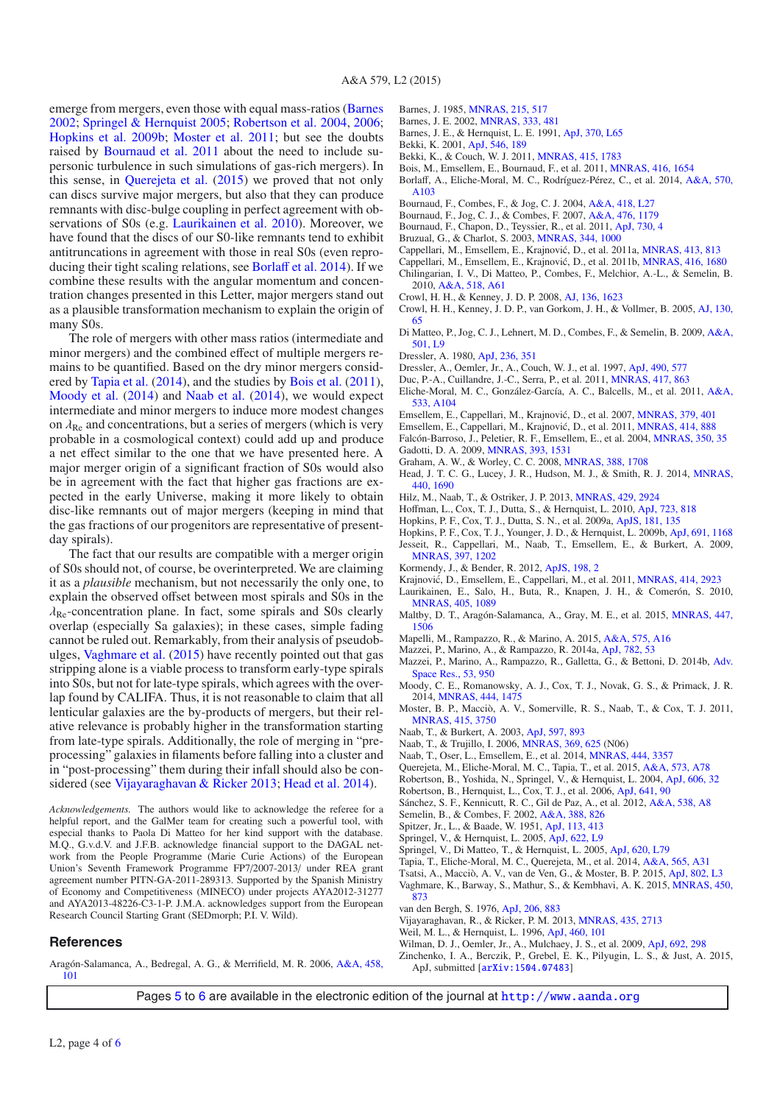emerge from mergers, even those with equal mass-ratios [\(Barnes](#page-3-51) [2002;](#page-3-51) [Springel & Hernquist 2005;](#page-3-52) [Robertson et al. 2004,](#page-3-53) [2006;](#page-3-54) [Hopkins et al. 2009b;](#page-3-55) [Moster et al. 2011;](#page-3-56) but see the doubts raised by [Bournaud et al. 2011](#page-3-57) about the need to include supersonic turbulence in such simulations of gas-rich mergers). In this sense, in [Querejeta et al.](#page-3-43) [\(2015](#page-3-43)) we proved that not only can discs survive major mergers, but also that they can produce remnants with disc-bulge coupling in perfect agreement with observations of S0s (e.g. [Laurikainen et al. 2010](#page-3-24)). Moreover, we have found that the discs of our S0-like remnants tend to exhibit antitruncations in agreement with those in real S0s (even reproducing their tight scaling relations, see [Borla](#page-3-42)ff et al. [2014](#page-3-42)). If we combine these results with the angular momentum and concentration changes presented in this Letter, major mergers stand out as a plausible transformation mechanism to explain the origin of many S0s.

The role of mergers with other mass ratios (intermediate and minor mergers) and the combined effect of multiple mergers remains to be quantified. Based on the dry minor mergers considered by [Tapia et al.](#page-3-46) [\(2014](#page-3-46)), and the studies by [Bois et al.](#page-3-9) [\(2011\)](#page-3-9), [Moody et al.](#page-3-10) [\(2014](#page-3-10)) and [Naab et al.](#page-3-21) [\(2014](#page-3-21)), we would expect intermediate and minor mergers to induce more modest changes on  $\lambda_{\text{Re}}$  and concentrations, but a series of mergers (which is very probable in a cosmological context) could add up and produce a net effect similar to the one that we have presented here. A major merger origin of a significant fraction of S0s would also be in agreement with the fact that higher gas fractions are expected in the early Universe, making it more likely to obtain disc-like remnants out of major mergers (keeping in mind that the gas fractions of our progenitors are representative of presentday spirals).

The fact that our results are compatible with a merger origin of S0s should not, of course, be overinterpreted. We are claiming it as a *plausible* mechanism, but not necessarily the only one, to explain the observed offset between most spirals and S0s in the  $\lambda_{\text{Re}}$ -concentration plane. In fact, some spirals and S0s clearly overlap (especially Sa galaxies); in these cases, simple fading cannot be ruled out. Remarkably, from their analysis of pseudobulges, [Vaghmare et al.](#page-3-58) [\(2015](#page-3-58)) have recently pointed out that gas stripping alone is a viable process to transform early-type spirals into S0s, but not for late-type spirals, which agrees with the overlap found by CALIFA. Thus, it is not reasonable to claim that all lenticular galaxies are the by-products of mergers, but their relative relevance is probably higher in the transformation starting from late-type spirals. Additionally, the role of merging in "preprocessing" galaxies in filaments before falling into a cluster and in "post-processing" them during their infall should also be considered (see [Vijayaraghavan & Ricker 2013](#page-3-59); [Head et al. 2014\)](#page-3-60).

*Acknowledgements.* The authors would like to acknowledge the referee for a helpful report, and the GalMer team for creating such a powerful tool, with especial thanks to Paola Di Matteo for her kind support with the database. M.Q., G.v.d.V. and J.F.B. acknowledge financial support to the DAGAL network from the People Programme (Marie Curie Actions) of the European Union's Seventh Framework Programme FP7/2007-2013/ under REA grant agreement number PITN-GA-2011-289313. Supported by the Spanish Ministry of Economy and Competitiveness (MINECO) under projects AYA2012-31277 and AYA2013-48226-C3-1-P. J.M.A. acknowledges support from the European Research Council Starting Grant (SEDmorph; P.I. V. Wild).

#### **References**

<span id="page-3-29"></span>Aragón-Salamanca, A., Bedregal, A. G., & Merrifield, M. R. 2006, [A&A, 458,](http://linker.aanda.org/10.1051/0004-6361/201526354/1) [101](http://linker.aanda.org/10.1051/0004-6361/201526354/1)

- Barnes, J. 1985, [MNRAS, 215, 517](http://linker.aanda.org/10.1051/0004-6361/201526354/2)
- Barnes, J. E. 2002, [MNRAS, 333, 481](http://linker.aanda.org/10.1051/0004-6361/201526354/3)
- <span id="page-3-51"></span><span id="page-3-48"></span><span id="page-3-35"></span><span id="page-3-13"></span><span id="page-3-11"></span>Barnes, J. E., & Hernquist, L. E. 1991, [ApJ, 370, L65](http://linker.aanda.org/10.1051/0004-6361/201526354/4)
- Bekki, K. 2001, [ApJ, 546, 189](http://linker.aanda.org/10.1051/0004-6361/201526354/5)
- Bekki, K., & Couch, W. J. 2011, [MNRAS, 415, 1783](http://linker.aanda.org/10.1051/0004-6361/201526354/6)
- <span id="page-3-9"></span>Bois, M., Emsellem, E., Bournaud, F., et al. 2011, [MNRAS, 416, 1654](http://linker.aanda.org/10.1051/0004-6361/201526354/7) Borlaff, A., Eliche-Moral, M. C., Rodríguez-Pérez, C., et al. 2014, [A&A, 570,](http://linker.aanda.org/10.1051/0004-6361/201526354/8)
- <span id="page-3-42"></span><span id="page-3-15"></span>[A103](http://linker.aanda.org/10.1051/0004-6361/201526354/8)
- Bournaud, F., Combes, F., & Jog, C. J. 2004, [A&A, 418, L27](http://linker.aanda.org/10.1051/0004-6361/201526354/9)
- Bournaud, F., Jog, C. J., & Combes, F. 2007, [A&A, 476, 1179](http://linker.aanda.org/10.1051/0004-6361/201526354/10)
- <span id="page-3-57"></span><span id="page-3-14"></span>Bournaud, F., Chapon, D., Teyssier, R., et al. 2011, [ApJ, 730, 4](http://linker.aanda.org/10.1051/0004-6361/201526354/11)
- <span id="page-3-41"></span>Bruzual, G., & Charlot, S. 2003, [MNRAS, 344, 1000](http://linker.aanda.org/10.1051/0004-6361/201526354/12)
- <span id="page-3-2"></span>Cappellari, M., Emsellem, E., Krajnović, D., et al. 2011a, *MNRAS*, 413, 813
- <span id="page-3-22"></span>Cappellari, M., Emsellem, E., Krajnović, D., et al. 2011b, *MNRAS*, 416, 1680
- <span id="page-3-40"></span>Chilingarian, I. V., Di Matteo, P., Combes, F., Melchior, A.-L., & Semelin, B.
- 2010, [A&A, 518, A61](http://linker.aanda.org/10.1051/0004-6361/201526354/15)
- <span id="page-3-30"></span>Crowl, H. H., & Kenney, J. D. P. 2008, [AJ, 136, 1623](http://linker.aanda.org/10.1051/0004-6361/201526354/16)
- <span id="page-3-28"></span>Crowl, H. H., Kenney, J. D. P., van Gorkom, J. H., & Vollmer, B. 2005, [AJ, 130,](http://linker.aanda.org/10.1051/0004-6361/201526354/17) [65](http://linker.aanda.org/10.1051/0004-6361/201526354/17)
- <span id="page-3-16"></span>Di Matteo, P., Jog, C. J., Lehnert, M. D., Combes, F., & Semelin, B. 2009, [A&A,](http://linker.aanda.org/10.1051/0004-6361/201526354/18) [501, L9](http://linker.aanda.org/10.1051/0004-6361/201526354/18)
- <span id="page-3-32"></span>Dressler, A. 1980, [ApJ, 236, 351](http://linker.aanda.org/10.1051/0004-6361/201526354/19)
- <span id="page-3-33"></span>Dressler, A., Oemler, Jr., A., Couch, W. J., et al. 1997, [ApJ, 490, 577](http://linker.aanda.org/10.1051/0004-6361/201526354/20)
- <span id="page-3-7"></span>Duc, P.-A., Cuillandre, J.-C., Serra, P., et al. 2011, [MNRAS, 417, 863](http://linker.aanda.org/10.1051/0004-6361/201526354/21)
- <span id="page-3-17"></span>Eliche-Moral, M. C., González-García, A. C., Balcells, M., et al. 2011, [A&A,](http://linker.aanda.org/10.1051/0004-6361/201526354/22) [533, A104](http://linker.aanda.org/10.1051/0004-6361/201526354/22)
- Emsellem, E., Cappellari, M., Krajnović, D., et al. 2007, *MNRAS*, 379, 401
- <span id="page-3-38"></span><span id="page-3-1"></span><span id="page-3-0"></span>Emsellem, E., Cappellari, M., Krajnović, D., et al. 2011, *MNRAS*, 414, 888
- <span id="page-3-45"></span>Falcón-Barroso, J., Peletier, R. F., Emsellem, E., et al. 2004, [MNRAS, 350, 35](http://linker.aanda.org/10.1051/0004-6361/201526354/25) Gadotti, D. A. 2009, [MNRAS, 393, 1531](http://linker.aanda.org/10.1051/0004-6361/201526354/26)
- <span id="page-3-47"></span>Graham, A. W., & Worley, C. C. 2008, [MNRAS, 388, 1708](http://linker.aanda.org/10.1051/0004-6361/201526354/27)
- <span id="page-3-60"></span>Head, J. T. C. G., Lucey, J. R., Hudson, M. J., & Smith, R. J. 2014, [MNRAS,](http://linker.aanda.org/10.1051/0004-6361/201526354/28) [440, 1690](http://linker.aanda.org/10.1051/0004-6361/201526354/28)
- <span id="page-3-18"></span>Hilz, M., Naab, T., & Ostriker, J. P. 2013, [MNRAS, 429, 2924](http://linker.aanda.org/10.1051/0004-6361/201526354/29)
- <span id="page-3-6"></span>Hoffman, L., Cox, T. J., Dutta, S., & Hernquist, L. 2010, [ApJ, 723, 818](http://linker.aanda.org/10.1051/0004-6361/201526354/30)
- <span id="page-3-50"></span>Hopkins, P. F., Cox, T. J., Dutta, S. N., et al. 2009a, [ApJS, 181, 135](http://linker.aanda.org/10.1051/0004-6361/201526354/31)
- <span id="page-3-55"></span><span id="page-3-3"></span>Hopkins, P. F., Cox, T. J., Younger, J. D., & Hernquist, L. 2009b, [ApJ, 691, 1168](http://linker.aanda.org/10.1051/0004-6361/201526354/32) Jesseit, R., Cappellari, M., Naab, T., Emsellem, E., & Burkert, A. 2009, [MNRAS, 397, 1202](http://linker.aanda.org/10.1051/0004-6361/201526354/33)
- Kormendy, J., & Bender, R. 2012, [ApJS, 198, 2](http://linker.aanda.org/10.1051/0004-6361/201526354/34)
- <span id="page-3-25"></span><span id="page-3-23"></span>Krajnović, D., Emsellem, E., Cappellari, M., et al. 2011, *MNRAS*, 414, 2923
- <span id="page-3-24"></span>Laurikainen, E., Salo, H., Buta, R., Knapen, J. H., & Comerón, S. 2010, [MNRAS, 405, 1089](http://linker.aanda.org/10.1051/0004-6361/201526354/36)
- <span id="page-3-31"></span>Maltby, D. T., Aragón-Salamanca, A., Gray, M. E., et al. 2015, [MNRAS, 447,](http://linker.aanda.org/10.1051/0004-6361/201526354/37) [1506](http://linker.aanda.org/10.1051/0004-6361/201526354/37)
- <span id="page-3-19"></span>Mapelli, M., Rampazzo, R., & Marino, A. 2015, [A&A, 575, A16](http://linker.aanda.org/10.1051/0004-6361/201526354/38)
- <span id="page-3-36"></span>Mazzei, P., Marino, A., & Rampazzo, R. 2014a, [ApJ, 782, 53](http://linker.aanda.org/10.1051/0004-6361/201526354/39)
- <span id="page-3-37"></span>Mazzei, P., Marino, A., Rampazzo, R., Galletta, G., & Bettoni, D. 2014b, [Adv.](http://linker.aanda.org/10.1051/0004-6361/201526354/40) [Space Res., 53, 950](http://linker.aanda.org/10.1051/0004-6361/201526354/40)
- <span id="page-3-10"></span>Moody, C. E., Romanowsky, A. J., Cox, T. J., Novak, G. S., & Primack, J. R. 2014, [MNRAS, 444, 1475](http://linker.aanda.org/10.1051/0004-6361/201526354/41)
- <span id="page-3-56"></span>Moster, B. P., Macciò, A. V., Somerville, R. S., Naab, T., & Cox, T. J. 2011, [MNRAS, 415, 3750](http://linker.aanda.org/10.1051/0004-6361/201526354/42)
- Naab, T., & Burkert, A. 2003, [ApJ, 597, 893](http://linker.aanda.org/10.1051/0004-6361/201526354/43)
- <span id="page-3-49"></span><span id="page-3-4"></span>Naab, T., & Trujillo, I. 2006, [MNRAS, 369, 625](http://linker.aanda.org/10.1051/0004-6361/201526354/44) (N06)
- <span id="page-3-21"></span>Naab, T., Oser, L., Emsellem, E., et al. 2014, [MNRAS, 444, 3357](http://linker.aanda.org/10.1051/0004-6361/201526354/45)
- <span id="page-3-43"></span>Querejeta, M., Eliche-Moral, M. C., Tapia, T., et al. 2015, [A&A, 573, A78](http://linker.aanda.org/10.1051/0004-6361/201526354/46)
- <span id="page-3-53"></span>Robertson, B., Yoshida, N., Springel, V., & Hernquist, L. 2004, [ApJ, 606, 32](http://linker.aanda.org/10.1051/0004-6361/201526354/47)
- <span id="page-3-54"></span>Robertson, B., Hernquist, L., Cox, T. J., et al. 2006, [ApJ, 641, 90](http://linker.aanda.org/10.1051/0004-6361/201526354/48)
- <span id="page-3-44"></span>Sánchez, S. F., Kennicutt, R. C., Gil de Paz, A., et al. 2012, [A&A, 538, A8](http://linker.aanda.org/10.1051/0004-6361/201526354/49)
- <span id="page-3-39"></span>Semelin, B., & Combes, F. 2002, [A&A, 388, 826](http://linker.aanda.org/10.1051/0004-6361/201526354/50)
- <span id="page-3-26"></span>Spitzer, Jr., L., & Baade, W. 1951, [ApJ, 113, 413](http://linker.aanda.org/10.1051/0004-6361/201526354/51)
- <span id="page-3-52"></span>Springel, V., & Hernquist, L. 2005, [ApJ, 622, L9](http://linker.aanda.org/10.1051/0004-6361/201526354/52)
- <span id="page-3-5"></span>Springel, V., Di Matteo, T., & Hernquist, L. 2005, [ApJ, 620, L79](http://linker.aanda.org/10.1051/0004-6361/201526354/53)
- Tapia, T., Eliche-Moral, M. C., Querejeta, M., et al. 2014, [A&A, 565, A31](http://linker.aanda.org/10.1051/0004-6361/201526354/54)
- <span id="page-3-46"></span><span id="page-3-8"></span>Tsatsi, A., Macciò, A. V., van de Ven, G., & Moster, B. P. 2015, [ApJ, 802, L3](http://linker.aanda.org/10.1051/0004-6361/201526354/55) Vaghmare, K., Barway, S., Mathur, S., & Kembhavi, A. K. 2015, [MNRAS, 450,](http://linker.aanda.org/10.1051/0004-6361/201526354/56)
- [873](http://linker.aanda.org/10.1051/0004-6361/201526354/56) van den Bergh, S. 1976, [ApJ, 206, 883](http://linker.aanda.org/10.1051/0004-6361/201526354/57)
- <span id="page-3-59"></span><span id="page-3-58"></span><span id="page-3-27"></span>Vijayaraghavan, R., & Ricker, P. M. 2013, [MNRAS, 435, 2713](http://linker.aanda.org/10.1051/0004-6361/201526354/58)
- <span id="page-3-34"></span><span id="page-3-12"></span>Weil, M. L., & Hernquist, L. 1996, [ApJ, 460, 101](http://linker.aanda.org/10.1051/0004-6361/201526354/59)
- Wilman, D. J., Oemler, Jr., A., Mulchaey, J. S., et al. 2009, [ApJ, 692, 298](http://linker.aanda.org/10.1051/0004-6361/201526354/60)
- <span id="page-3-20"></span>Zinchenko, I. A., Berczik, P., Grebel, E. K., Pilyugin, L. S., & Just, A. 2015, ApJ, submitted [[arXiv:1504.07483](http://arxiv.org/abs/1504.07483)]

Pages [5](#page-4-1) to [6](#page-5-0) are available in the electronic edition of the journal at <http://www.aanda.org>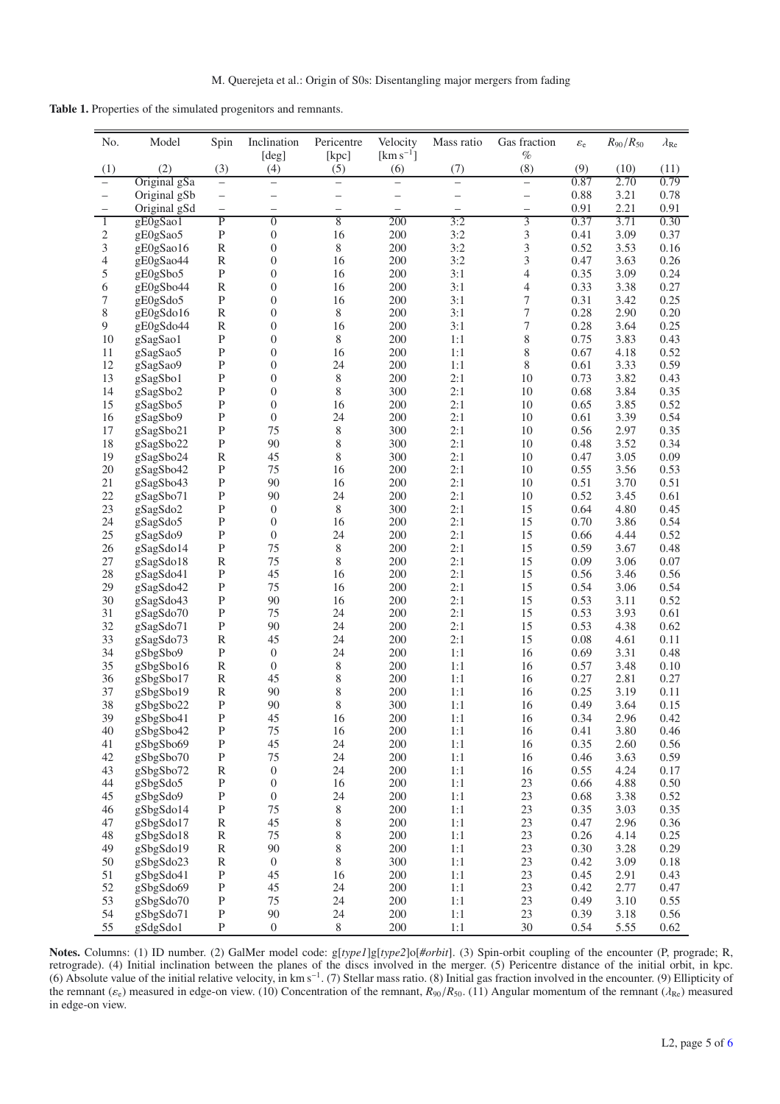<span id="page-4-1"></span><span id="page-4-0"></span>**Table 1.** Properties of the simulated progenitors and remnants.

| No.                      | Model                  | Spin                     | Inclination                          | Pericentre               | Velocity                 | Mass ratio     | Gas fraction     | $\varepsilon_{\rm e}$ | $R_{90}/R_{50}$ | $\lambda_{\rm Re}$ |
|--------------------------|------------------------|--------------------------|--------------------------------------|--------------------------|--------------------------|----------------|------------------|-----------------------|-----------------|--------------------|
|                          |                        |                          | [deg]                                | [kpc]                    | $\mathrm{[km\,s^{-1}]}$  |                | $\%$             |                       |                 |                    |
| (1)                      | (2)                    | (3)                      | (4)                                  | (5)                      | (6)                      | (7)            | (8)              | (9)                   | (10)            | (11)               |
|                          | Original gSa           | $\equiv$                 | -                                    | $\overline{\phantom{0}}$ | $\equiv$                 | $\overline{a}$ | $\equiv$         | 0.87                  | 2.70            | 0.79               |
| $\qquad \qquad -$        | Original gSb           | $\qquad \qquad -$        |                                      | $\overline{\phantom{0}}$ |                          |                |                  | 0.88                  | 3.21            | 0.78               |
| $\overline{\phantom{0}}$ | Original gSd           | $\overline{\phantom{0}}$ | $\overline{\phantom{0}}$             | $\overline{\phantom{0}}$ | $\overline{\phantom{0}}$ |                | —                | 0.91                  | 2.21            | 0.91               |
| $\mathbf{1}$             | gE0gSao1               | $\overline{P}$           | $\overline{0}$                       | 8                        | 200                      | 3:2            | 3                | 0.37                  | 3.71            | 0.30               |
| $\mathbf{c}$             | gE0gSao5               | $\mathbf P$              | $\boldsymbol{0}$                     | 16                       | 200                      | 3:2            | 3                | 0.41                  | 3.09            | 0.37               |
| 3                        | gE0gSao16              | $\mathbb R$              | $\boldsymbol{0}$                     | 8                        | 200                      | 3:2            | 3                | 0.52                  | 3.53            | 0.16               |
| 4                        | gE0gSao44              | ${\bf R}$                | $\boldsymbol{0}$                     | 16                       | 200                      | 3:2            | 3                | 0.47                  | 3.63            | 0.26               |
| 5                        | gE0gSbo5               | ${\bf P}$                | $\boldsymbol{0}$                     | 16                       | 200                      | 3:1            | 4                | 0.35                  | 3.09            | 0.24               |
| 6                        | gE0gSbo44              | ${\bf R}$                | $\boldsymbol{0}$                     | 16                       | 200                      | 3:1            | 4                | 0.33                  | 3.38            | 0.27               |
| 7                        | gE0gSdo5               | ${\bf P}$                | $\boldsymbol{0}$                     | 16                       | 200                      | 3:1            | $\boldsymbol{7}$ | 0.31                  | 3.42            | 0.25               |
| 8                        | gE0gSdo16              | ${\bf R}$                | $\boldsymbol{0}$                     | 8                        | 200                      | 3:1            | 7                | 0.28                  | 2.90            | 0.20               |
| 9                        | gE0gSdo44              | $\mathbb R$              | $\boldsymbol{0}$                     | 16                       | 200                      | 3:1            | 7                | 0.28                  | 3.64            | 0.25               |
| 10<br>11                 | gSagSao1               | ${\bf P}$<br>${\bf P}$   | $\boldsymbol{0}$                     | 8<br>16                  | 200<br>200               | 1:1<br>1:1     | 8<br>8           | 0.75<br>0.67          | 3.83<br>4.18    | 0.43<br>0.52       |
| 12                       | gSagSao5               | $\mathbf P$              | $\boldsymbol{0}$<br>$\boldsymbol{0}$ | 24                       | 200                      | 1:1            | $8\,$            | 0.61                  | 3.33            | 0.59               |
| 13                       | gSagSao9               | ${\bf P}$                | $\boldsymbol{0}$                     | 8                        | 200                      | 2:1            | 10               | 0.73                  | 3.82            | 0.43               |
| 14                       | gSagSbo1<br>gSagSbo2   | ${\bf P}$                | $\boldsymbol{0}$                     | 8                        | 300                      | 2:1            | 10               | 0.68                  | 3.84            | 0.35               |
| 15                       | gSagSbo5               | $\mathbf P$              | $\boldsymbol{0}$                     | 16                       | 200                      | 2:1            | 10               | 0.65                  | 3.85            | 0.52               |
| 16                       | gSagSbo9               | ${\bf P}$                | $\boldsymbol{0}$                     | 24                       | 200                      | 2:1            | 10               | 0.61                  | 3.39            | 0.54               |
| 17                       | gSagSbo21              | $\mathbf{P}$             | 75                                   | 8                        | 300                      | 2:1            | 10               | 0.56                  | 2.97            | 0.35               |
| 18                       | gSagSbo22              | $\, {\bf P}$             | 90                                   | 8                        | 300                      | 2:1            | 10               | 0.48                  | 3.52            | 0.34               |
| 19                       | gSagSbo24              | ${\bf R}$                | 45                                   | 8                        | 300                      | 2:1            | 10               | 0.47                  | 3.05            | 0.09               |
| 20                       | gSagSbo42              | ${\bf P}$                | 75                                   | 16                       | 200                      | 2:1            | 10               | 0.55                  | 3.56            | 0.53               |
| 21                       | gSagSbo43              | ${\bf P}$                | 90                                   | 16                       | 200                      | 2:1            | 10               | 0.51                  | 3.70            | 0.51               |
| 22                       | gSagSbo71              | ${\bf P}$                | 90                                   | 24                       | 200                      | 2:1            | 10               | 0.52                  | 3.45            | 0.61               |
| 23                       | gSagSdo2               | ${\bf P}$                | $\boldsymbol{0}$                     | 8                        | 300                      | 2:1            | 15               | 0.64                  | 4.80            | 0.45               |
| 24                       | gSagSdo5               | $\mathbf P$              | $\boldsymbol{0}$                     | 16                       | 200                      | 2:1            | 15               | 0.70                  | 3.86            | 0.54               |
| 25                       | gSagSdo9               | ${\bf P}$                | $\boldsymbol{0}$                     | 24                       | 200                      | 2:1            | 15               | 0.66                  | 4.44            | 0.52               |
| 26                       | gSagSdo14              | ${\bf P}$                | 75                                   | 8                        | 200                      | 2:1            | 15               | 0.59                  | 3.67            | 0.48               |
| 27                       | gSagSdo18              | $\mathbb R$              | 75                                   | 8                        | 200                      | 2:1            | 15               | 0.09                  | 3.06            | 0.07               |
| 28                       | gSagSdo41              | ${\bf P}$                | 45                                   | 16                       | 200                      | 2:1            | 15               | 0.56                  | 3.46            | 0.56               |
| 29                       | gSagSdo42              | ${\bf P}$                | 75                                   | 16                       | 200                      | 2:1            | 15               | 0.54                  | 3.06            | 0.54               |
| 30                       | gSagSdo43              | ${\bf P}$                | 90                                   | 16                       | 200                      | 2:1            | 15               | 0.53                  | 3.11            | 0.52               |
| 31                       | gSagSdo70              | ${\bf P}$                | 75                                   | 24                       | 200                      | 2:1            | 15               | 0.53                  | 3.93            | 0.61               |
| 32                       | gSagSdo71              | ${\bf P}$                | 90                                   | 24                       | 200                      | 2:1            | 15               | 0.53                  | 4.38            | 0.62               |
| 33                       | gSagSdo73              | ${\bf R}$                | 45                                   | 24                       | 200                      | 2:1            | 15               | 0.08                  | 4.61            | 0.11               |
| 34                       | gSbgSbo9               | $\, {\bf P}$             | $\boldsymbol{0}$                     | 24                       | 200                      | 1:1            | 16               | 0.69                  | 3.31            | 0.48               |
| 35                       | gSbgSbo16              | ${\bf R}$                | $\boldsymbol{0}$                     | 8                        | 200                      | 1:1            | 16               | 0.57                  | 3.48            | 0.10               |
| 36                       | gSbgSbo17              | ${\bf R}$                | 45                                   | 8                        | 200                      | 1:1            | 16               | 0.27                  | 2.81            | 0.27               |
| 37                       | gSbgSbo19              | ${\bf R}$                | 90                                   | 8                        | 200                      | 1:1            | 16               | 0.25                  | 3.19            | 0.11               |
| 38                       | gSbgSbo22              | $\mathbf{P}$             | 90                                   | 8                        | 300                      | 1:1            | 16               | 0.49                  | 3.64            | 0.15               |
| 39                       | gSbgSbo41              | ${\bf P}$                | 45                                   | 16                       | $200\,$                  | 1:1            | 16               | 0.34                  | 2.96            | 0.42               |
| 40                       | gSbgSbo42              | ${\bf P}$                | 75                                   | 16                       | 200                      | 1:1            | 16               | 0.41                  | 3.80            | 0.46               |
| 41                       | gSbgSbo69              | $\mathbf P$              | 45                                   | 24                       | 200                      | 1:1            | 16               | 0.35                  | 2.60            | 0.56               |
| 42                       | gSbgSbo70              | $\mathbf P$              | 75                                   | 24                       | 200                      | 1:1            | 16               | 0.46                  | 3.63            | 0.59               |
| 43                       | gSbgSbo72              | ${\mathbb R}$            | $\boldsymbol{0}$                     | 24                       | 200                      | 1:1            | 16               | 0.55                  | 4.24            | 0.17               |
| 44                       | gSbgSdo5               | $\mathbf P$              | $\boldsymbol{0}$                     | 16                       | 200                      | 1:1            | 23               | 0.66                  | 4.88            | 0.50               |
| 45                       | gSbgSdo9               | ${\bf P}$                | $\boldsymbol{0}$                     | 24                       | 200                      | 1:1            | 23               | 0.68                  | 3.38            | 0.52               |
| 46                       | gSbgSdo14              | $\, {\bf P}$             | 75                                   | 8                        | 200                      | 1:1            | 23               | 0.35                  | 3.03            | 0.35               |
| 47                       | gSbgSdo17              | $\mathbb R$              | 45                                   | 8                        | 200                      | 1:1            | 23               | 0.47                  | 2.96            | 0.36               |
| 48                       | gSbgSdo18              | ${\mathbb R}$            | 75                                   | 8                        | 200                      | 1:1            | 23               | 0.26                  | 4.14            | 0.25               |
| 49                       | gSbgSdo19              | ${\bf R}$<br>${\bf R}$   | 90                                   | 8                        | 200                      | 1:1            | 23               | 0.30                  | 3.28            | 0.29               |
| 50                       | gSbgSdo23<br>gSbgSdo41 | $\, {\bf P}$             | $\boldsymbol{0}$<br>45               | 8                        | 300<br>200               | 1:1            | 23<br>23         | 0.42                  | 3.09            | 0.18               |
| 51<br>52                 |                        | ${\bf P}$                | 45                                   | 16<br>24                 | 200                      | 1:1<br>1:1     | 23               | 0.45<br>0.42          | 2.91<br>2.77    | 0.43<br>0.47       |
| 53                       | gSbgSdo69<br>gSbgSdo70 | $\mathbf P$              | 75                                   | 24                       | 200                      | 1:1            | 23               | 0.49                  | 3.10            | 0.55               |
| 54                       | gSbgSdo71              | ${\bf P}$                | 90                                   | 24                       | 200                      | 1:1            | 23               | 0.39                  | 3.18            | 0.56               |
| 55                       | gSdgSdo1               | $\mathbf P$              | $\boldsymbol{0}$                     | 8                        | 200                      | 1:1            | 30               | 0.54                  | 5.55            | 0.62               |

**Notes.** Columns: (1) ID number. (2) GalMer model code: g[*type1*]g[*type2*]o[*#orbit*]. (3) Spin-orbit coupling of the encounter (P, prograde; R, retrograde). (4) Initial inclination between the planes of the discs involved in the merger. (5) Pericentre distance of the initial orbit, in kpc. (6) Absolute value of the initial relative velocity, in km s−1. (7) Stellar mass ratio. (8) Initial gas fraction involved in the encounter. (9) Ellipticity of the remnant ( $\varepsilon_e$ ) measured in edge-on view. (10) Concentration of the remnant,  $R_{90}/R_{50}$ . (11) Angular momentum of the remnant ( $\lambda_{Re}$ ) measured in edge-on view.